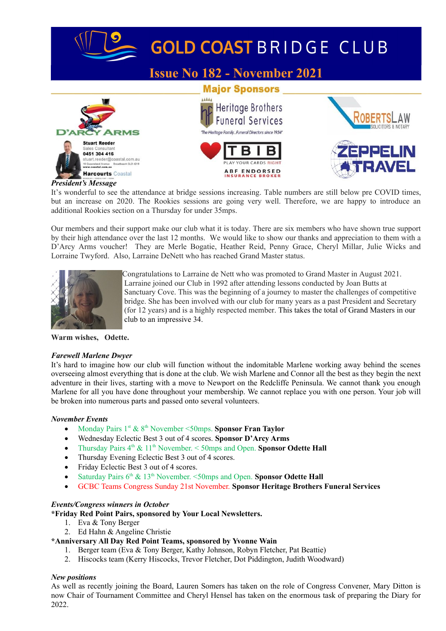

# GOLD COAST BRIDGE CLUB

# **Issue No 182 - November 2021**







#### *President's Message*

It's wonderful to see the attendance at bridge sessions increasing. Table numbers are still below pre COVID times, but an increase on 2020. The Rookies sessions are going very well. Therefore, we are happy to introduce an additional Rookies section on a Thursday for under 35mps.

Our members and their support make our club what it is today. There are six members who have shown true support by their high attendance over the last 12 months. We would like to show our thanks and appreciation to them with a D'Arcy Arms voucher! They are Merle Bogatie, Heather Reid, Penny Grace, Cheryl Millar, Julie Wicks and Lorraine Twyford. Also, Larraine DeNett who has reached Grand Master status.



Congratulations to Larraine de Nett who was promoted to Grand Master in August 2021. Larraine joined our Club in 1992 after attending lessons conducted by Joan Butts at Sanctuary Cove. This was the beginning of a journey to master the challenges of competitive bridge. She has been involved with our club for many years as a past President and Secretary (for 12 years) and is a highly respected member. This takes the total of Grand Masters in our club to an impressive 34.

**Warm wishes, Odette.**

# *Farewell Marlene Dwyer*

It's hard to imagine how our club will function without the indomitable Marlene working away behind the scenes overseeing almost everything that is done at the club. We wish Marlene and Connor all the best as they begin the next adventure in their lives, starting with a move to Newport on the Redcliffe Peninsula. We cannot thank you enough Marlene for all you have done throughout your membership. We cannot replace you with one person. Your job will be broken into numerous parts and passed onto several volunteers.

# *November Events*

- Monday Pairs 1st & 8th November <50mps. **Sponsor Fran Taylor**
- Wednesday Eclectic Best 3 out of 4 scores. **Sponsor D'Arcy Arms**
- Thursday Pairs 4th & 11th November. < 50mps and Open. **Sponsor Odette Hall**
- Thursday Evening Eclectic Best 3 out of 4 scores.
- Friday Eclectic Best 3 out of 4 scores.
- Saturday Pairs  $6^{th}$  & 13<sup>th</sup> November. <50mps and Open. **Sponsor Odette Hall**
- GCBC Teams Congress Sunday 21st November. **Sponsor Heritage Brothers Funeral Services**

# *Events/Congress winners in October*

**\*Friday Red Point Pairs, sponsored by Your Local Newsletters.**

- 1. Eva & Tony Berger
- 2. Ed Hahn & Angeline Christie

# **\*Anniversary All Day Red Point Teams, sponsored by Yvonne Wain**

- 1. Berger team (Eva & Tony Berger, Kathy Johnson, Robyn Fletcher, Pat Beattie)
- 2. Hiscocks team (Kerry Hiscocks, Trevor Fletcher, Dot Piddington, Judith Woodward)

# *New positions*

As well as recently joining the Board, Lauren Somers has taken on the role of Congress Convener, Mary Ditton is now Chair of Tournament Committee and Cheryl Hensel has taken on the enormous task of preparing the Diary for 2022.